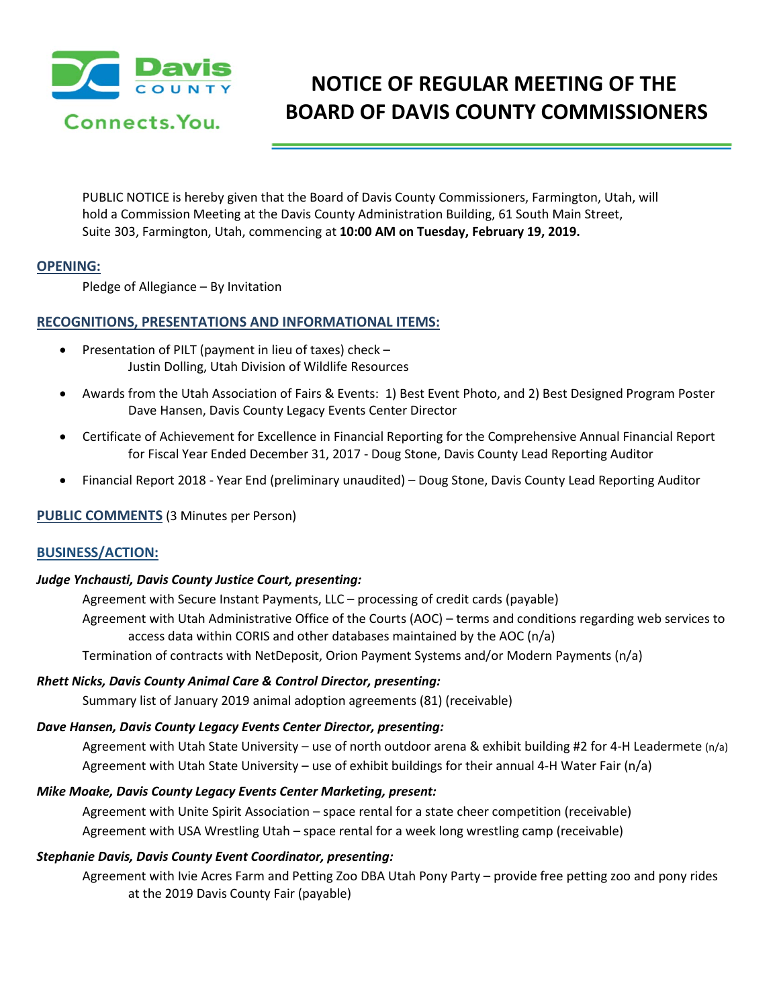

# **NOTICE OF REGULAR MEETING OF THE BOARD OF DAVIS COUNTY COMMISSIONERS**

PUBLIC NOTICE is hereby given that the Board of Davis County Commissioners, Farmington, Utah, will hold a Commission Meeting at the Davis County Administration Building, 61 South Main Street, Suite 303, Farmington, Utah, commencing at **10:00 AM on Tuesday, February 19, 2019.** 

## **OPENING:**

Pledge of Allegiance – By Invitation

## **RECOGNITIONS, PRESENTATIONS AND INFORMATIONAL ITEMS:**

- Presentation of PILT (payment in lieu of taxes) check Justin Dolling, Utah Division of Wildlife Resources
- Awards from the Utah Association of Fairs & Events: 1) Best Event Photo, and 2) Best Designed Program Poster Dave Hansen, Davis County Legacy Events Center Director
- Certificate of Achievement for Excellence in Financial Reporting for the Comprehensive Annual Financial Report for Fiscal Year Ended December 31, 2017 - Doug Stone, Davis County Lead Reporting Auditor
- Financial Report 2018 Year End (preliminary unaudited) Doug Stone, Davis County Lead Reporting Auditor

#### **PUBLIC COMMENTS** (3 Minutes per Person)

# **BUSINESS/ACTION:**

#### *Judge Ynchausti, Davis County Justice Court, presenting:*

Agreement with Secure Instant Payments, LLC – processing of credit cards (payable) Agreement with Utah Administrative Office of the Courts (AOC) – terms and conditions regarding web services to access data within CORIS and other databases maintained by the AOC (n/a)

Termination of contracts with NetDeposit, Orion Payment Systems and/or Modern Payments (n/a)

#### *Rhett Nicks, Davis County Animal Care & Control Director, presenting:*

Summary list of January 2019 animal adoption agreements (81) (receivable)

#### *Dave Hansen, Davis County Legacy Events Center Director, presenting:*

Agreement with Utah State University – use of north outdoor arena & exhibit building #2 for 4-H Leadermete (n/a) Agreement with Utah State University – use of exhibit buildings for their annual 4-H Water Fair (n/a)

#### *Mike Moake, Davis County Legacy Events Center Marketing, present:*

Agreement with Unite Spirit Association – space rental for a state cheer competition (receivable) Agreement with USA Wrestling Utah – space rental for a week long wrestling camp (receivable)

#### *Stephanie Davis, Davis County Event Coordinator, presenting:*

Agreement with Ivie Acres Farm and Petting Zoo DBA Utah Pony Party – provide free petting zoo and pony rides at the 2019 Davis County Fair (payable)